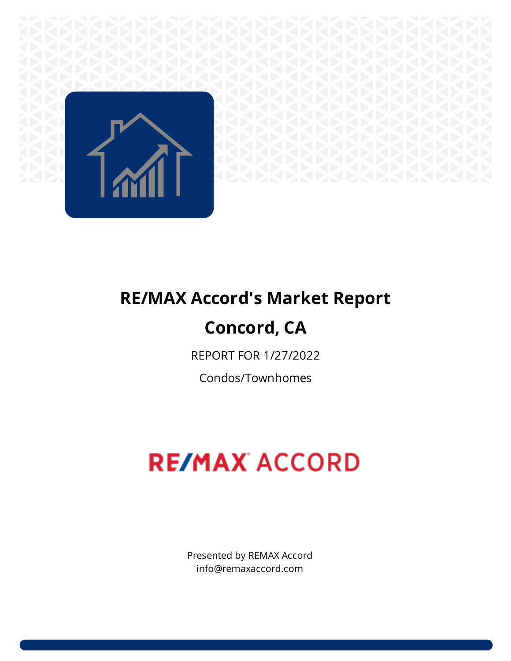

# **RE/MAX Accord's Market Report**

# **Concord, CA**

REPORT FOR 1/27/2022

Condos/Townhomes

# **RE/MAX ACCORD**

Presented by REMAX Accord info@remaxaccord.com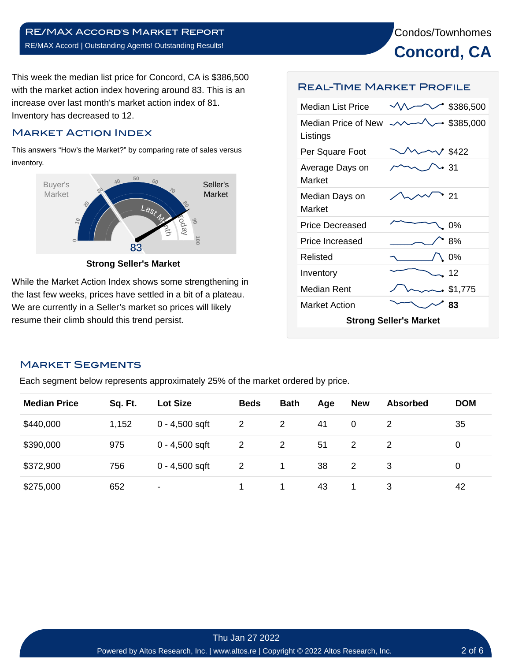Condos/Townhomes **Concord, CA**

This week the median list price for Concord, CA is \$386,500 with the market action index hovering around 83. This is an increase over last month's market action index of 81. Inventory has decreased to 12.

# Market Action Index

This answers "How's the Market?" by comparing rate of sales versus inventory.



**Strong Seller's Market**

While the Market Action Index shows some strengthening in the last few weeks, prices have settled in a bit of a plateau. We are currently in a Seller's market so prices will likely resume their climb should this trend persist.

#### Real-Time Market Profile

| <b>Median List Price</b>        |  | \$386,500      |  |  |  |  |  |
|---------------------------------|--|----------------|--|--|--|--|--|
| Median Price of New<br>Listings |  | \$385,000      |  |  |  |  |  |
| Per Square Foot                 |  | $1$ \$422      |  |  |  |  |  |
| Average Days on<br>Market       |  | -31            |  |  |  |  |  |
| Median Days on<br>Market        |  | 21             |  |  |  |  |  |
| Price Decreased                 |  | 0%             |  |  |  |  |  |
| <b>Price Increased</b>          |  | 8%             |  |  |  |  |  |
| Relisted                        |  | 0%             |  |  |  |  |  |
| Inventory                       |  | 12             |  |  |  |  |  |
| <b>Median Rent</b>              |  | $\sim$ \$1,775 |  |  |  |  |  |
| <b>Market Action</b>            |  | 83             |  |  |  |  |  |
| <b>Strong Seller's Market</b>   |  |                |  |  |  |  |  |

#### Market Segments

Each segment below represents approximately 25% of the market ordered by price.

| <b>Median Price</b> | Sq. Ft. | <b>Lot Size</b>  | <b>Beds</b>           | <b>Bath</b> | Age | <b>New</b> | <b>Absorbed</b> | <b>DOM</b> |
|---------------------|---------|------------------|-----------------------|-------------|-----|------------|-----------------|------------|
| \$440,000           | 1,152   | $0 - 4,500$ sqft | $\mathbf{2}$          |             | 41  | 0          |                 | 35         |
| \$390,000           | 975     | $0 - 4,500$ sqft | $\mathbf{2}^{\prime}$ |             | 51  | 2          |                 | 0          |
| \$372,900           | 756     | $0 - 4,500$ sqft | 2                     |             | 38  | 2          | 3               | 0          |
| \$275,000           | 652     | ۰                |                       |             | 43  |            | 3               | 42         |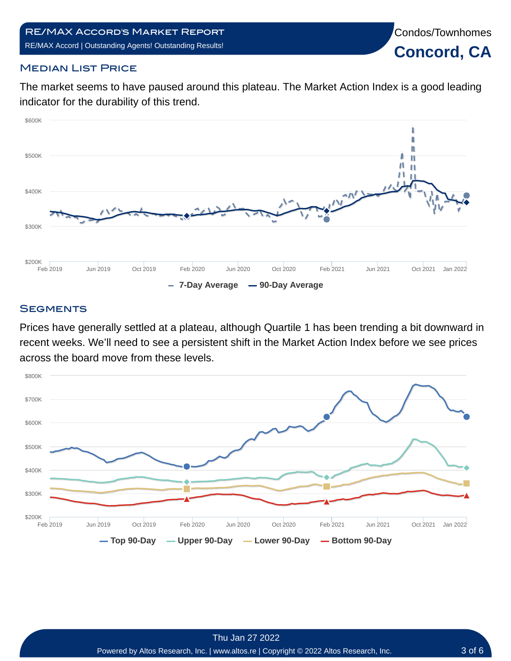Condos/Townhomes

**Concord, CA**

# **MEDIAN LIST PRICE**

The market seems to have paused around this plateau. The Market Action Index is a good leading indicator for the durability of this trend.



# **SEGMENTS**

Prices have generally settled at a plateau, although Quartile 1 has been trending a bit downward in recent weeks. We'll need to see a persistent shift in the Market Action Index before we see prices across the board move from these levels.

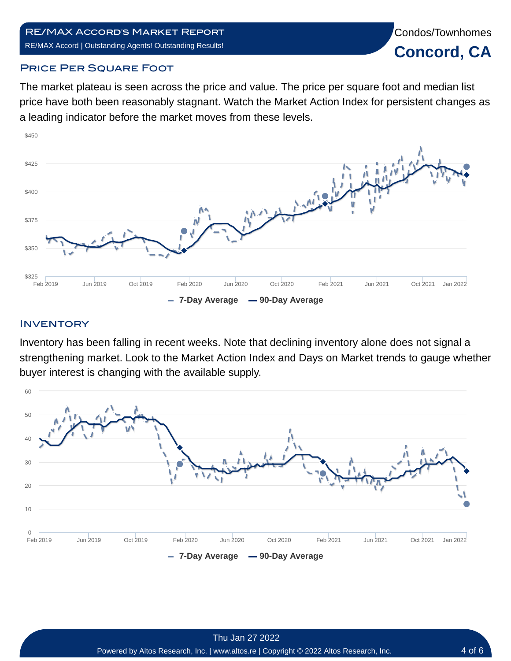# RE/MAX Accord's Market Report RE/MAX Accord | Outstanding Agents! Outstanding Results!

Condos/Townhomes **Concord, CA**

#### **PRICE PER SQUARE FOOT**

The market plateau is seen across the price and value. The price per square foot and median list price have both been reasonably stagnant. Watch the Market Action Index for persistent changes as a leading indicator before the market moves from these levels.



# **INVENTORY**

Inventory has been falling in recent weeks. Note that declining inventory alone does not signal a strengthening market. Look to the Market Action Index and Days on Market trends to gauge whether buyer interest is changing with the available supply.

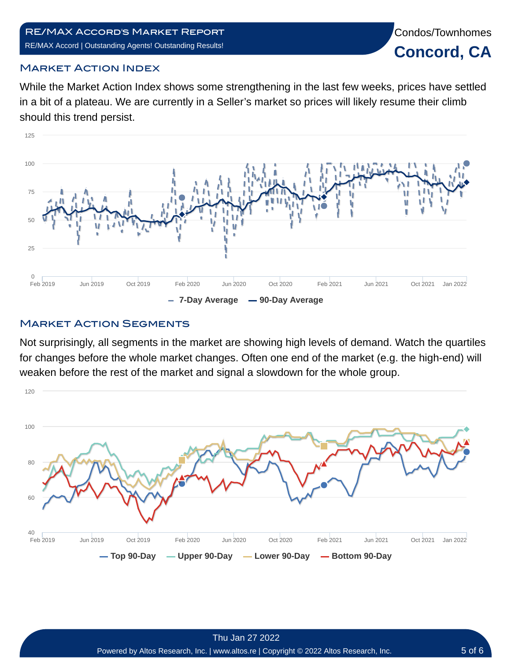#### RE/MAX Accord's Market Report RE/MAX Accord | Outstanding Agents! Outstanding Results!



# Market Action Index

While the Market Action Index shows some strengthening in the last few weeks, prices have settled in a bit of a plateau. We are currently in a Seller's market so prices will likely resume their climb should this trend persist.



# **MARKET ACTION SEGMENTS**

Not surprisingly, all segments in the market are showing high levels of demand. Watch the quartiles for changes before the whole market changes. Often one end of the market (e.g. the high-end) will weaken before the rest of the market and signal a slowdown for the whole group.